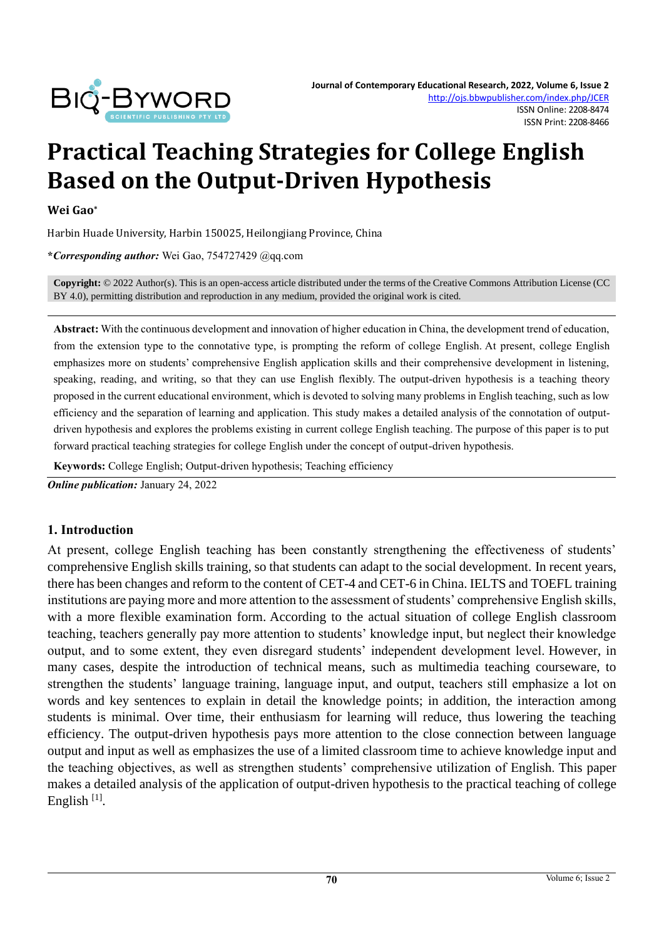

# **Practical Teaching Strategies for College English Based on the Output-Driven Hypothesis**

#### **Wei Gao\***

Harbin Huade University, Harbin 150025, Heilongjiang Province, China

**\****Corresponding author:* Wei Gao, 754727429 @qq.com

**Copyright:** © 2022 Author(s). This is an open-access article distributed under the terms of th[e Creative Commons Attribution License \(CC](https://creativecommons.org/licenses/by/4.0/)  [BY 4.0\),](https://creativecommons.org/licenses/by/4.0/) permitting distribution and reproduction in any medium, provided the original work is cited.

**Abstract:** With the continuous development and innovation of higher education in China, the development trend of education, from the extension type to the connotative type, is prompting the reform of college English. At present, college English emphasizes more on students' comprehensive English application skills and their comprehensive development in listening, speaking, reading, and writing, so that they can use English flexibly. The output-driven hypothesis is a teaching theory proposed in the current educational environment, which is devoted to solving many problems in English teaching, such as low efficiency and the separation of learning and application. This study makes a detailed analysis of the connotation of outputdriven hypothesis and explores the problems existing in current college English teaching. The purpose of this paper is to put forward practical teaching strategies for college English under the concept of output-driven hypothesis.

**Keywords:** College English; Output-driven hypothesis; Teaching efficiency

*Online publication:* January 24, 2022

#### **1. Introduction**

At present, college English teaching has been constantly strengthening the effectiveness of students' comprehensive English skills training, so that students can adapt to the social development. In recent years, there has been changes and reform to the content of CET-4 and CET-6 in China. IELTS and TOEFL training institutions are paying more and more attention to the assessment of students' comprehensive English skills, with a more flexible examination form. According to the actual situation of college English classroom teaching, teachers generally pay more attention to students' knowledge input, but neglect their knowledge output, and to some extent, they even disregard students' independent development level. However, in many cases, despite the introduction of technical means, such as multimedia teaching courseware, to strengthen the students' language training, language input, and output, teachers still emphasize a lot on words and key sentences to explain in detail the knowledge points; in addition, the interaction among students is minimal. Over time, their enthusiasm for learning will reduce, thus lowering the teaching efficiency. The output-driven hypothesis pays more attention to the close connection between language output and input as well as emphasizes the use of a limited classroom time to achieve knowledge input and the teaching objectives, as well as strengthen students' comprehensive utilization of English. This paper makes a detailed analysis of the application of output-driven hypothesis to the practical teaching of college English<sup>[1]</sup>.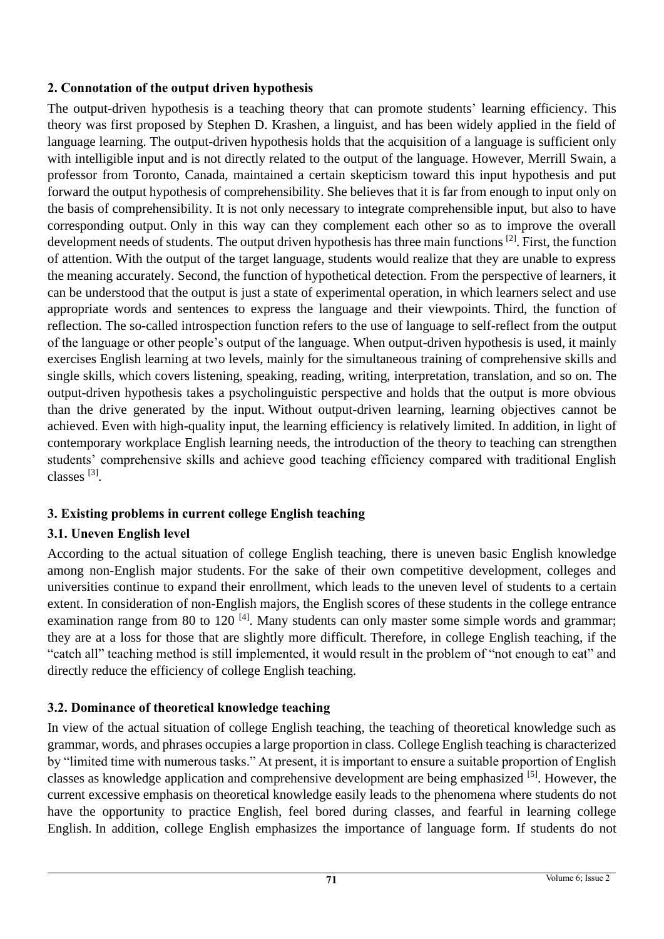#### **2. Connotation of the output driven hypothesis**

The output-driven hypothesis is a teaching theory that can promote students' learning efficiency. This theory was first proposed by Stephen D. Krashen, a linguist, and has been widely applied in the field of language learning. The output-driven hypothesis holds that the acquisition of a language is sufficient only with intelligible input and is not directly related to the output of the language. However, Merrill Swain, a professor from Toronto, Canada, maintained a certain skepticism toward this input hypothesis and put forward the output hypothesis of comprehensibility. She believes that it is far from enough to input only on the basis of comprehensibility. It is not only necessary to integrate comprehensible input, but also to have corresponding output. Only in this way can they complement each other so as to improve the overall development needs of students. The output driven hypothesis has three main functions [2]. First, the function of attention. With the output of the target language, students would realize that they are unable to express the meaning accurately. Second, the function of hypothetical detection. From the perspective of learners, it can be understood that the output is just a state of experimental operation, in which learners select and use appropriate words and sentences to express the language and their viewpoints. Third, the function of reflection. The so-called introspection function refers to the use of language to self-reflect from the output of the language or other people's output of the language. When output-driven hypothesis is used, it mainly exercises English learning at two levels, mainly for the simultaneous training of comprehensive skills and single skills, which covers listening, speaking, reading, writing, interpretation, translation, and so on. The output-driven hypothesis takes a psycholinguistic perspective and holds that the output is more obvious than the drive generated by the input. Without output-driven learning, learning objectives cannot be achieved. Even with high-quality input, the learning efficiency is relatively limited. In addition, in light of contemporary workplace English learning needs, the introduction of the theory to teaching can strengthen students' comprehensive skills and achieve good teaching efficiency compared with traditional English classes [3].

# **3. Existing problems in current college English teaching**

# **3.1. Uneven English level**

According to the actual situation of college English teaching, there is uneven basic English knowledge among non-English major students. For the sake of their own competitive development, colleges and universities continue to expand their enrollment, which leads to the uneven level of students to a certain extent. In consideration of non-English majors, the English scores of these students in the college entrance examination range from 80 to 120  $^{[4]}$ . Many students can only master some simple words and grammar; they are at a loss for those that are slightly more difficult. Therefore, in college English teaching, if the "catch all" teaching method is still implemented, it would result in the problem of "not enough to eat" and directly reduce the efficiency of college English teaching.

# **3.2. Dominance of theoretical knowledge teaching**

In view of the actual situation of college English teaching, the teaching of theoretical knowledge such as grammar, words, and phrases occupies a large proportion in class. College English teaching is characterized by "limited time with numerous tasks." At present, it is important to ensure a suitable proportion of English classes as knowledge application and comprehensive development are being emphasized [5]. However, the current excessive emphasis on theoretical knowledge easily leads to the phenomena where students do not have the opportunity to practice English, feel bored during classes, and fearful in learning college English. In addition, college English emphasizes the importance of language form. If students do not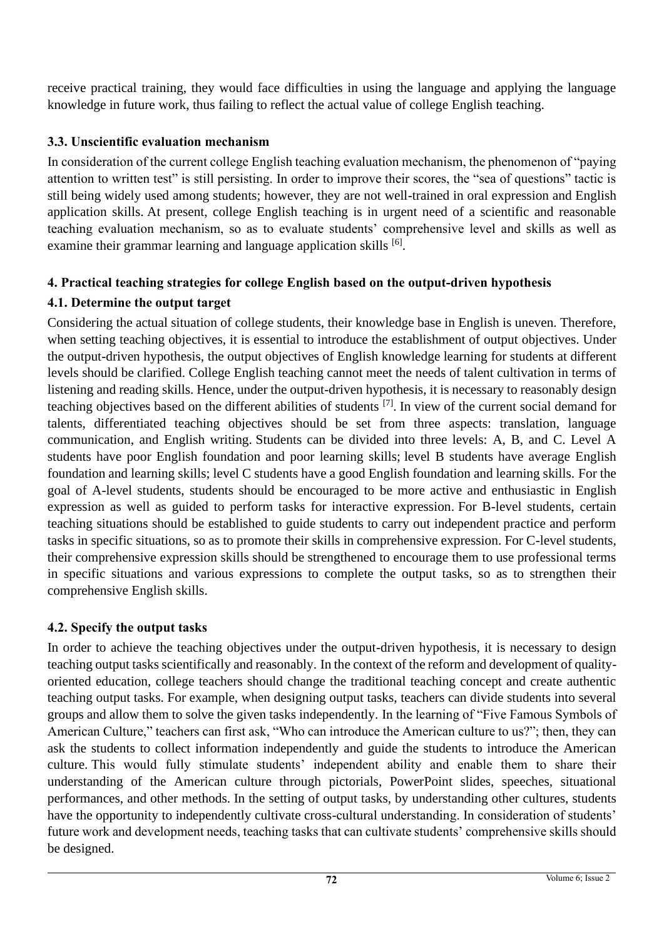receive practical training, they would face difficulties in using the language and applying the language knowledge in future work, thus failing to reflect the actual value of college English teaching.

#### **3.3. Unscientific evaluation mechanism**

In consideration of the current college English teaching evaluation mechanism, the phenomenon of "paying attention to written test" is still persisting. In order to improve their scores, the "sea of questions" tactic is still being widely used among students; however, they are not well-trained in oral expression and English application skills. At present, college English teaching is in urgent need of a scientific and reasonable teaching evaluation mechanism, so as to evaluate students' comprehensive level and skills as well as examine their grammar learning and language application skills <sup>[6]</sup>.

# **4. Practical teaching strategies for college English based on the output-driven hypothesis**

#### **4.1. Determine the output target**

Considering the actual situation of college students, their knowledge base in English is uneven. Therefore, when setting teaching objectives, it is essential to introduce the establishment of output objectives. Under the output-driven hypothesis, the output objectives of English knowledge learning for students at different levels should be clarified. College English teaching cannot meet the needs of talent cultivation in terms of listening and reading skills. Hence, under the output-driven hypothesis, it is necessary to reasonably design teaching objectives based on the different abilities of students <sup>[7]</sup>. In view of the current social demand for talents, differentiated teaching objectives should be set from three aspects: translation, language communication, and English writing. Students can be divided into three levels: A, B, and C. Level A students have poor English foundation and poor learning skills; level B students have average English foundation and learning skills; level C students have a good English foundation and learning skills. For the goal of A-level students, students should be encouraged to be more active and enthusiastic in English expression as well as guided to perform tasks for interactive expression. For B-level students, certain teaching situations should be established to guide students to carry out independent practice and perform tasks in specific situations, so as to promote their skills in comprehensive expression. For C-level students, their comprehensive expression skills should be strengthened to encourage them to use professional terms in specific situations and various expressions to complete the output tasks, so as to strengthen their comprehensive English skills.

# **4.2. Specify the output tasks**

In order to achieve the teaching objectives under the output-driven hypothesis, it is necessary to design teaching output tasks scientifically and reasonably. In the context of the reform and development of qualityoriented education, college teachers should change the traditional teaching concept and create authentic teaching output tasks. For example, when designing output tasks, teachers can divide students into several groups and allow them to solve the given tasks independently. In the learning of "Five Famous Symbols of American Culture," teachers can first ask, "Who can introduce the American culture to us?"; then, they can ask the students to collect information independently and guide the students to introduce the American culture. This would fully stimulate students' independent ability and enable them to share their understanding of the American culture through pictorials, PowerPoint slides, speeches, situational performances, and other methods. In the setting of output tasks, by understanding other cultures, students have the opportunity to independently cultivate cross-cultural understanding. In consideration of students' future work and development needs, teaching tasks that can cultivate students' comprehensive skills should be designed.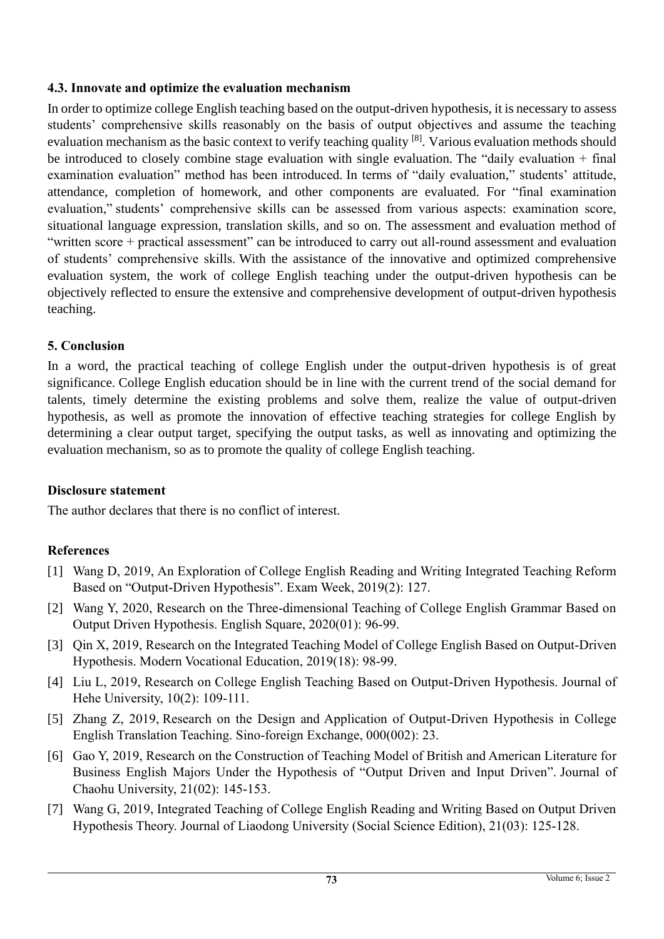#### **4.3. Innovate and optimize the evaluation mechanism**

In order to optimize college English teaching based on the output-driven hypothesis, it is necessary to assess students' comprehensive skills reasonably on the basis of output objectives and assume the teaching evaluation mechanism as the basic context to verify teaching quality <sup>[8]</sup>. Various evaluation methods should be introduced to closely combine stage evaluation with single evaluation. The "daily evaluation + final examination evaluation" method has been introduced. In terms of "daily evaluation," students' attitude, attendance, completion of homework, and other components are evaluated. For "final examination evaluation," students' comprehensive skills can be assessed from various aspects: examination score, situational language expression, translation skills, and so on. The assessment and evaluation method of "written score + practical assessment" can be introduced to carry out all-round assessment and evaluation of students' comprehensive skills. With the assistance of the innovative and optimized comprehensive evaluation system, the work of college English teaching under the output-driven hypothesis can be objectively reflected to ensure the extensive and comprehensive development of output-driven hypothesis teaching.

#### **5. Conclusion**

In a word, the practical teaching of college English under the output-driven hypothesis is of great significance. College English education should be in line with the current trend of the social demand for talents, timely determine the existing problems and solve them, realize the value of output-driven hypothesis, as well as promote the innovation of effective teaching strategies for college English by determining a clear output target, specifying the output tasks, as well as innovating and optimizing the evaluation mechanism, so as to promote the quality of college English teaching.

#### **Disclosure statement**

The author declares that there is no conflict of interest.

#### **References**

- [1] Wang D, 2019, An Exploration of College English Reading and Writing Integrated Teaching Reform Based on "Output-Driven Hypothesis". Exam Week, 2019(2): 127.
- [2] Wang Y, 2020, Research on the Three-dimensional Teaching of College English Grammar Based on Output Driven Hypothesis. English Square, 2020(01): 96-99.
- [3] Qin X, 2019, Research on the Integrated Teaching Model of College English Based on Output-Driven Hypothesis. Modern Vocational Education, 2019(18): 98-99.
- [4] Liu L, 2019, Research on College English Teaching Based on Output-Driven Hypothesis. Journal of Hehe University, 10(2): 109-111.
- [5] Zhang Z, 2019, Research on the Design and Application of Output-Driven Hypothesis in College English Translation Teaching. Sino-foreign Exchange, 000(002): 23.
- [6] Gao Y, 2019, Research on the Construction of Teaching Model of British and American Literature for Business English Majors Under the Hypothesis of "Output Driven and Input Driven". Journal of Chaohu University, 21(02): 145-153.
- [7] Wang G, 2019, Integrated Teaching of College English Reading and Writing Based on Output Driven Hypothesis Theory. Journal of Liaodong University (Social Science Edition), 21(03): 125-128.